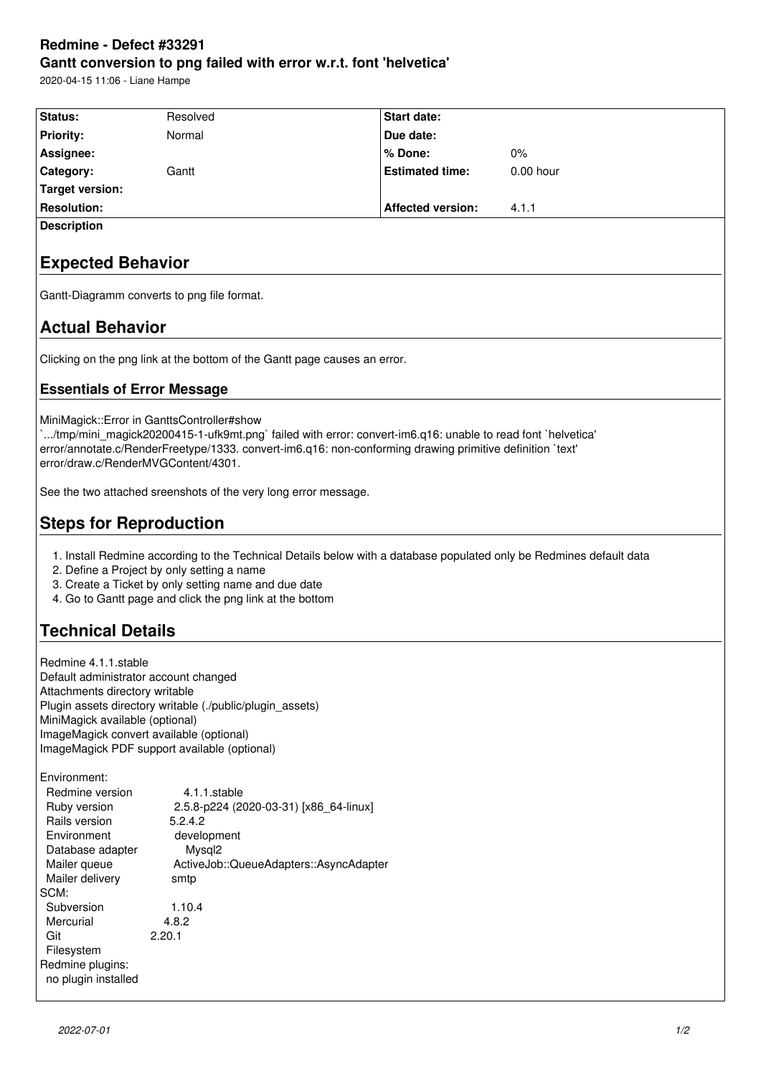## **Redmine - Defect #33291 Gantt conversion to png failed with error w.r.t. font 'helvetica'**

2020-04-15 11:06 - Liane Hampe

| Status:                         | Resolved                                                                                                                                                                                                                                                                                                      | <b>Start date:</b>       |             |
|---------------------------------|---------------------------------------------------------------------------------------------------------------------------------------------------------------------------------------------------------------------------------------------------------------------------------------------------------------|--------------------------|-------------|
| <b>Priority:</b>                | Normal                                                                                                                                                                                                                                                                                                        | Due date:                |             |
| Assignee:                       |                                                                                                                                                                                                                                                                                                               | % Done:                  | $0\%$       |
| Category:                       | Gantt                                                                                                                                                                                                                                                                                                         | <b>Estimated time:</b>   | $0.00$ hour |
| <b>Target version:</b>          |                                                                                                                                                                                                                                                                                                               |                          |             |
| <b>Resolution:</b>              |                                                                                                                                                                                                                                                                                                               | <b>Affected version:</b> | 4.1.1       |
| <b>Description</b>              |                                                                                                                                                                                                                                                                                                               |                          |             |
| <b>Expected Behavior</b>        |                                                                                                                                                                                                                                                                                                               |                          |             |
|                                 | Gantt-Diagramm converts to png file format.                                                                                                                                                                                                                                                                   |                          |             |
| <b>Actual Behavior</b>          |                                                                                                                                                                                                                                                                                                               |                          |             |
|                                 | Clicking on the png link at the bottom of the Gantt page causes an error.                                                                                                                                                                                                                                     |                          |             |
|                                 | <b>Essentials of Error Message</b>                                                                                                                                                                                                                                                                            |                          |             |
|                                 | MiniMagick::Error in GanttsController#show<br>`/tmp/mini_magick20200415-1-ufk9mt.png` failed with error: convert-im6.q16: unable to read font `helvetica'<br>error/annotate.c/RenderFreetype/1333. convert-im6.q16: non-conforming drawing primitive definition `text'<br>error/draw.c/RenderMVGContent/4301. |                          |             |
|                                 | See the two attached sreenshots of the very long error message.                                                                                                                                                                                                                                               |                          |             |
|                                 | <b>Steps for Reproduction</b>                                                                                                                                                                                                                                                                                 |                          |             |
| <b>Technical Details</b>        | 1. Install Redmine according to the Technical Details below with a database populated only be Redmines default data<br>2. Define a Project by only setting a name<br>3. Create a Ticket by only setting name and due date<br>4. Go to Gantt page and click the png link at the bottom                         |                          |             |
|                                 |                                                                                                                                                                                                                                                                                                               |                          |             |
| Redmine 4.1.1.stable            |                                                                                                                                                                                                                                                                                                               |                          |             |
| Attachments directory writable  | Default administrator account changed                                                                                                                                                                                                                                                                         |                          |             |
|                                 | Plugin assets directory writable (./public/plugin_assets)                                                                                                                                                                                                                                                     |                          |             |
| MiniMagick available (optional) |                                                                                                                                                                                                                                                                                                               |                          |             |
|                                 | ImageMagick convert available (optional)                                                                                                                                                                                                                                                                      |                          |             |
|                                 | ImageMagick PDF support available (optional)                                                                                                                                                                                                                                                                  |                          |             |
| Environment:                    |                                                                                                                                                                                                                                                                                                               |                          |             |
| Redmine version                 | 4.1.1.stable                                                                                                                                                                                                                                                                                                  |                          |             |
| Ruby version                    | 2.5.8-p224 (2020-03-31) [x86_64-linux]                                                                                                                                                                                                                                                                        |                          |             |
| Rails version                   | 5.2.4.2                                                                                                                                                                                                                                                                                                       |                          |             |
| Environment                     | development                                                                                                                                                                                                                                                                                                   |                          |             |
| Database adapter                | Mysql <sub>2</sub>                                                                                                                                                                                                                                                                                            |                          |             |
| Mailer queue                    | ActiveJob::QueueAdapters::AsyncAdapter                                                                                                                                                                                                                                                                        |                          |             |
| Mailer delivery<br>SCM:         | smtp                                                                                                                                                                                                                                                                                                          |                          |             |
| Subversion                      | 1.10.4                                                                                                                                                                                                                                                                                                        |                          |             |
| Mercurial                       | 4.8.2                                                                                                                                                                                                                                                                                                         |                          |             |
| Git                             | 2.20.1                                                                                                                                                                                                                                                                                                        |                          |             |

 Filesystem Redmine plugins: